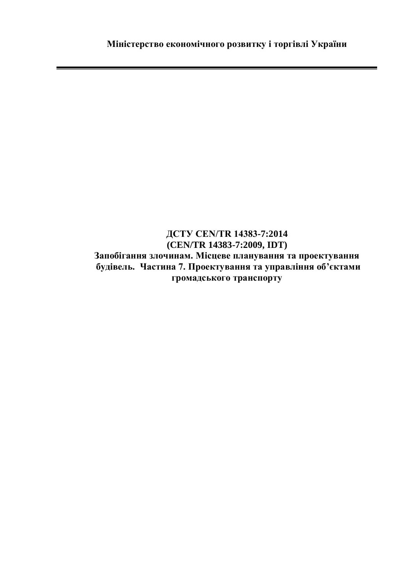## **ДСТУ CEN/TR 14383-7:2014 (CEN/TR 14383-7:2009, IDT) Запобігання злочинам. Місцеве планування та проектування будівель. Частина 7. Проектування та управління об'єктами громадського транспорту**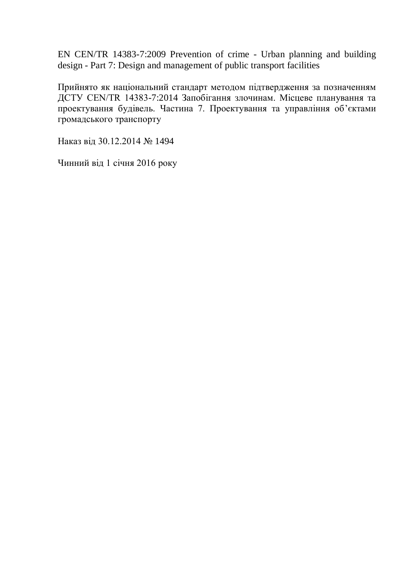EN CEN/TR 14383-7:2009 Prevention of crime - Urban planning and building design - Part 7: Design and management of public transport facilities

Прийнято як національний стандарт методом підтвердження за позначенням ДСТУ CEN/TR 14383-7:2014 Запобігання злочинам. Місцеве планування та проектування будівель. Частина 7. Проектування та управління об'єктами громадського транспорту

Наказ від 30.12.2014 № 1494

Чинний від 1 січня 2016 року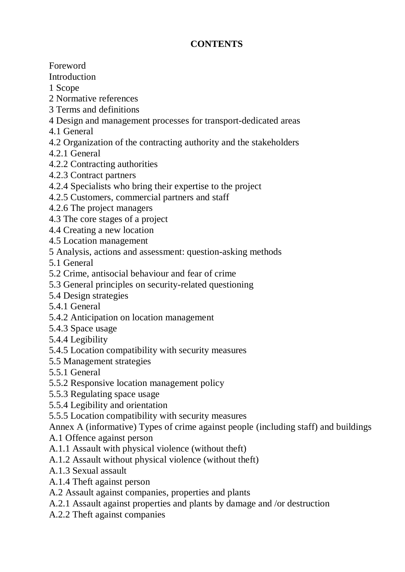## **CONTENTS**

Foreword

Introduction

1 Scope

- 2 Normative references
- 3 Terms and definitions

4 Design and management processes for transport-dedicated areas

- 4.1 General
- 4.2 Organization of the contracting authority and the stakeholders
- 4.2.1 General
- 4.2.2 Contracting authorities
- 4.2.3 Contract partners
- 4.2.4 Specialists who bring their expertise to the project
- 4.2.5 Customers, commercial partners and staff
- 4.2.6 The project managers
- 4.3 The core stages of a project
- 4.4 Creating a new location
- 4.5 Location management
- 5 Analysis, actions and assessment: question-asking methods
- 5.1 General
- 5.2 Crime, antisocial behaviour and fear of crime
- 5.3 General principles on security-related questioning
- 5.4 Design strategies
- 5.4.1 General
- 5.4.2 Anticipation on location management
- 5.4.3 Space usage
- 5.4.4 Legibility
- 5.4.5 Location compatibility with security measures
- 5.5 Management strategies
- 5.5.1 General
- 5.5.2 Responsive location management policy
- 5.5.3 Regulating space usage
- 5.5.4 Legibility and orientation
- 5.5.5 Location compatibility with security measures
- Annex A (informative) Types of crime against people (including staff) and buildings
- A.1 Offence against person
- A.1.1 Assault with physical violence (without theft)
- A.1.2 Assault without physical violence (without theft)
- A.1.3 Sexual assault
- A.1.4 Theft against person
- A.2 Assault against companies, properties and plants
- A.2.1 Assault against properties and plants by damage and /or destruction
- A.2.2 Theft against companies